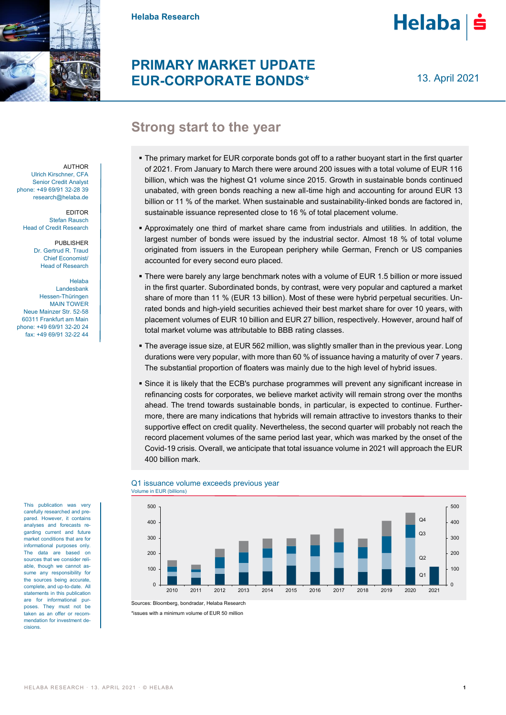

**Helaba Research**

# **PRIMARY MARKET UPDATE EUR-CORPORATE BONDS\***

13. April 2021

**Helaba** 

# **Strong start to the year**

- The primary market for EUR corporate bonds got off to a rather buoyant start in the first quarter of 2021. From January to March there were around 200 issues with a total volume of EUR 116 billion, which was the highest Q1 volume since 2015. Growth in sustainable bonds continued unabated, with green bonds reaching a new all-time high and accounting for around EUR 13 billion or 11 % of the market. When sustainable and sustainability-linked bonds are factored in, sustainable issuance represented close to 16 % of total placement volume.
- Approximately one third of market share came from industrials and utilities. In addition, the largest number of bonds were issued by the industrial sector. Almost 18 % of total volume originated from issuers in the European periphery while German, French or US companies accounted for every second euro placed.
- There were barely any large benchmark notes with a volume of EUR 1.5 billion or more issued in the first quarter. Subordinated bonds, by contrast, were very popular and captured a market share of more than 11 % (EUR 13 billion). Most of these were hybrid perpetual securities. Unrated bonds and high-yield securities achieved their best market share for over 10 years, with placement volumes of EUR 10 billion and EUR 27 billion, respectively. However, around half of total market volume was attributable to BBB rating classes.
- The average issue size, at EUR 562 million, was slightly smaller than in the previous year. Long durations were very popular, with more than 60 % of issuance having a maturity of over 7 years. The substantial proportion of floaters was mainly due to the high level of hybrid issues.
- Since it is likely that the ECB's purchase programmes will prevent any significant increase in refinancing costs for corporates, we believe market activity will remain strong over the months ahead. The trend towards sustainable bonds, in particular, is expected to continue. Furthermore, there are many indications that hybrids will remain attractive to investors thanks to their supportive effect on credit quality. Nevertheless, the second quarter will probably not reach the record placement volumes of the same period last year, which was marked by the onset of the Covid-19 crisis. Overall, we anticipate that total issuance volume in 2021 will approach the EUR 400 billion mark.



### Q1 issuance volume exceeds previous year Volume in EUR (billions)

\*issues with a minimum volume of EUR 50 million

AUTHOR Ulrich Kirschner, CFA Senior Credit Analyst phone: +49 69/91 32-28 39 research@helaba.de

EDITOR Stefan Rausch Head of Credit Research

> PUBLISHER Dr. Gertrud R. Traud Chief Economist/ Head of Research

Helaba Landesbank Hessen-Thüringen MAIN TOWER Neue Mainzer Str. 52-58 60311 Frankfurt am Main phone: +49 69/91 32-20 24 fax: +49 69/91 32-22 44

This publication was very carefully researched and prepared. However, it contains analyses and forecasts regarding current and future market conditions that are for informational purposes only. The data are based on sources that we consider reliable, though we cannot assume any responsibility for the sources being accurate, complete, and up-to-date. All statements in this publication are for informational purposes. They must not be taken as an offer or recommendation for investment decisions.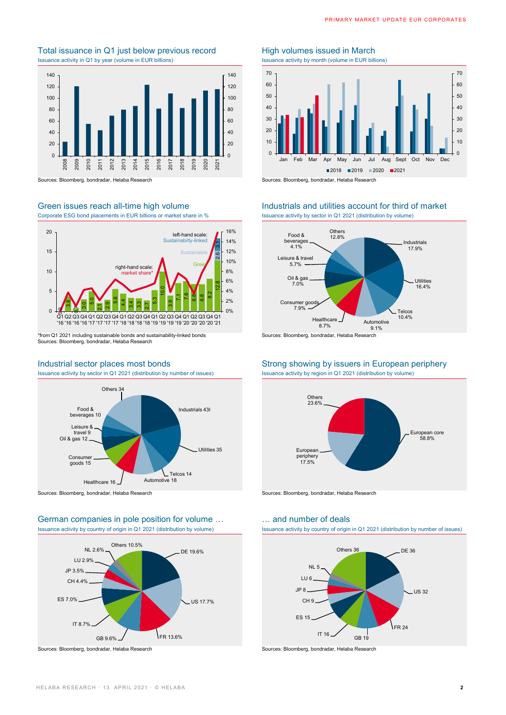## Total issuance in Q1 just below previous record<br>
Issuance activity by month (volume in EUR billions)<br>
Issuance activity by month (volume in EUR billions) Issuance activity in Q1 by year (volume in EUR billions)



Sources: Bloomberg, bondradar, Helaba Research Sources: Bloomberg, bondradar, Helaba Research

Corporate ESG bond placements in EUR billions or market share in % Issuance activity by sector in Q1 2021 (distribution by volume)



\*from Q1 2021 including sustainable bonds and sustainability-linked bonds Sources: Bloomberg, bondradar, Helaba Research

Issuance activity by sector in Q1 2021 (distribution by number of issues) Issuance activity by region in Q1 2021 (distribution by volume)



Sources: Bloomberg, bondradar, Helaba Research Sources: Bloomberg, bondradar, Helaba Research

### German companies in pole position for volume ... **Example 20** in and number of deals Issuance activity by country of origin in Q1 2021 (distribution by volume) Issuance activity by country of origin in Q1 2021 (distribution by number of issues)



Sources: Bloomberg, bondradar, Helaba Research Sources: Bloomberg, bondradar, Helaba Research Sources: Bloomberg, bondradar, Helaba Research



## Green issues reach all-time high volume Industrials and utilities account for third of market



Sources: Bloomberg, bondradar, Helaba Research

# Industrial sector places most bonds Strong showing by issuers in European periphery